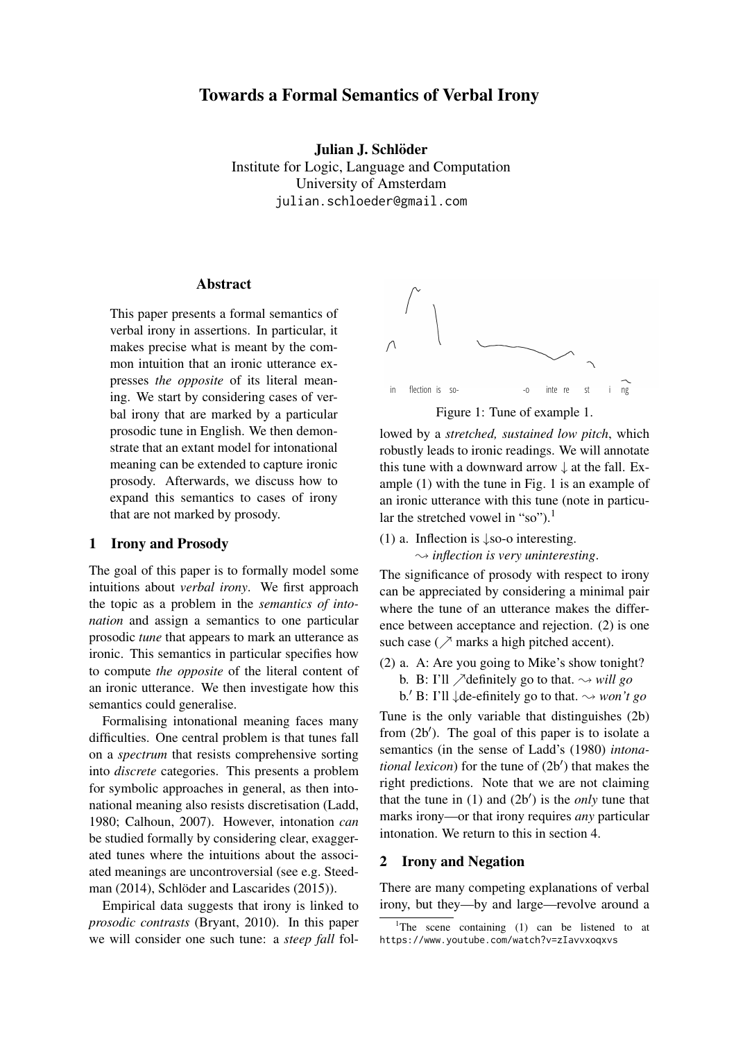# Towards a Formal Semantics of Verbal Irony

Julian J. Schlöder

Institute for Logic, Language and Computation University of Amsterdam julian.schloeder@gmail.com

## Abstract

This paper presents a formal semantics of verbal irony in assertions. In particular, it makes precise what is meant by the common intuition that an ironic utterance expresses *the opposite* of its literal meaning. We start by considering cases of verbal irony that are marked by a particular prosodic tune in English. We then demonstrate that an extant model for intonational meaning can be extended to capture ironic prosody. Afterwards, we discuss how to expand this semantics to cases of irony that are not marked by prosody.

#### 1 Irony and Prosody

The goal of this paper is to formally model some intuitions about *verbal irony*. We first approach the topic as a problem in the *semantics of intonation* and assign a semantics to one particular prosodic *tune* that appears to mark an utterance as ironic. This semantics in particular specifies how to compute *the opposite* of the literal content of an ironic utterance. We then investigate how this semantics could generalise.

Formalising intonational meaning faces many difficulties. One central problem is that tunes fall on a *spectrum* that resists comprehensive sorting into *discrete* categories. This presents a problem for symbolic approaches in general, as then intonational meaning also resists discretisation (Ladd, 1980; Calhoun, 2007). However, intonation *can* be studied formally by considering clear, exaggerated tunes where the intuitions about the associated meanings are uncontroversial (see e.g. Steedman  $(2014)$ , Schlöder and Lascarides  $(2015)$ ).

Empirical data suggests that irony is linked to *prosodic contrasts* (Bryant, 2010). In this paper we will consider one such tune: a *steep fall* fol-



Figure 1: Tune of example 1.

lowed by a *stretched, sustained low pitch*, which robustly leads to ironic readings. We will annotate this tune with a downward arrow  $\downarrow$  at the fall. Example (1) with the tune in Fig. 1 is an example of an ironic utterance with this tune (note in particular the stretched vowel in "so").<sup>1</sup>

(1) a. Inflection is ↓so-o interesting.  $\rightsquigarrow$  *inflection is very uninteresting.* 

The significance of prosody with respect to irony can be appreciated by considering a minimal pair where the tune of an utterance makes the difference between acceptance and rejection. (2) is one such case ( $\nearrow$  marks a high pitched accent).

- (2) a. A: Are you going to Mike's show tonight?
	- b. B: I'll  $\triangle$  definitely go to that.  $\leadsto$  *will go*

b.<sup> $\prime$ </sup> B: I'll  $\downarrow$  de-efinitely go to that.  $\rightsquigarrow$  *won't go* Tune is the only variable that distinguishes (2b) from  $(2b')$ . The goal of this paper is to isolate a semantics (in the sense of Ladd's (1980) *intona*tional lexicon) for the tune of (2b') that makes the right predictions. Note that we are not claiming that the tune in  $(1)$  and  $(2b')$  is the *only* tune that marks irony—or that irony requires *any* particular intonation. We return to this in section 4.

#### 2 Irony and Negation

There are many competing explanations of verbal irony, but they—by and large—revolve around a

<sup>&</sup>lt;sup>1</sup>The scene containing  $(1)$  can be listened to at https://www.youtube.com/watch?v=zIavvxoqxvs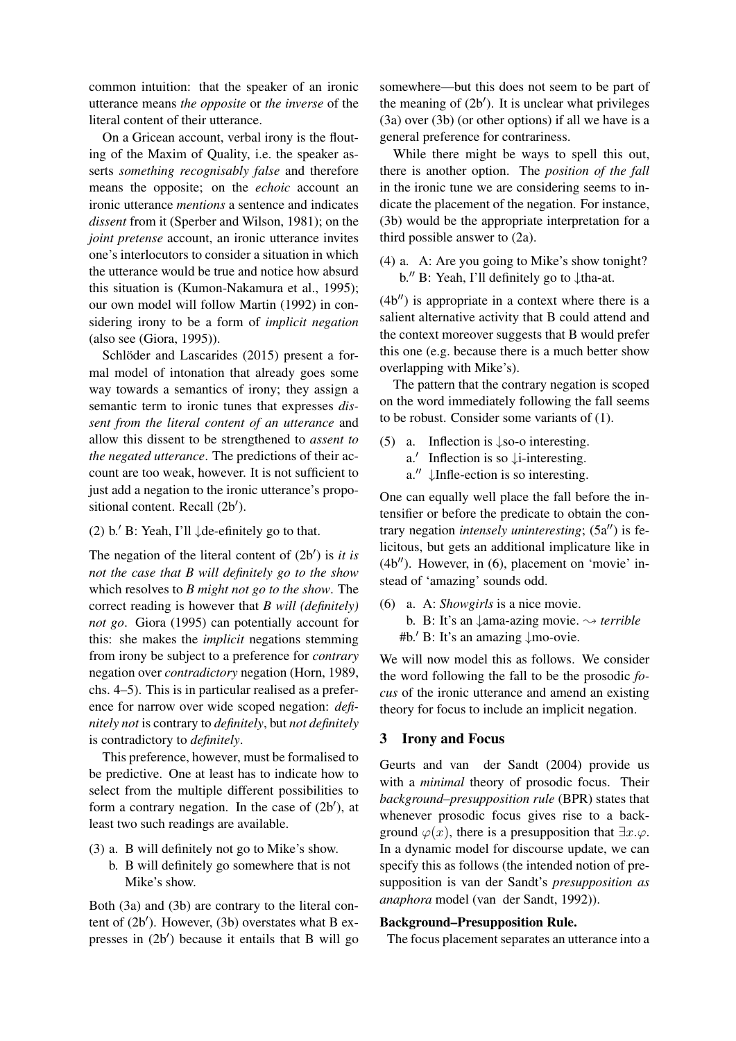common intuition: that the speaker of an ironic utterance means *the opposite* or *the inverse* of the literal content of their utterance.

On a Gricean account, verbal irony is the flouting of the Maxim of Quality, i.e. the speaker asserts *something recognisably false* and therefore means the opposite; on the *echoic* account an ironic utterance *mentions* a sentence and indicates *dissent* from it (Sperber and Wilson, 1981); on the *joint pretense* account, an ironic utterance invites one's interlocutors to consider a situation in which the utterance would be true and notice how absurd this situation is (Kumon-Nakamura et al., 1995); our own model will follow Martin (1992) in considering irony to be a form of *implicit negation* (also see (Giora, 1995)).

Schlöder and Lascarides (2015) present a formal model of intonation that already goes some way towards a semantics of irony; they assign a semantic term to ironic tunes that expresses *dissent from the literal content of an utterance* and allow this dissent to be strengthened to *assent to the negated utterance*. The predictions of their account are too weak, however. It is not sufficient to just add a negation to the ironic utterance's propositional content. Recall (2b').

(2) b. $\prime$  B: Yeah, I'll  $\downarrow$  de-efinitely go to that.

The negation of the literal content of  $(2b')$  is *it is not the case that B will definitely go to the show* which resolves to *B might not go to the show*. The correct reading is however that *B will (definitely) not go*. Giora (1995) can potentially account for this: she makes the *implicit* negations stemming from irony be subject to a preference for *contrary* negation over *contradictory* negation (Horn, 1989, chs. 4–5). This is in particular realised as a preference for narrow over wide scoped negation: *definitely not* is contrary to *definitely*, but *not definitely* is contradictory to *definitely*.

This preference, however, must be formalised to be predictive. One at least has to indicate how to select from the multiple different possibilities to form a contrary negation. In the case of  $(2b')$ , at least two such readings are available.

- (3) a. B will definitely not go to Mike's show.
	- b. B will definitely go somewhere that is not Mike's show.

Both (3a) and (3b) are contrary to the literal content of  $(2b')$ . However,  $(3b)$  overstates what B expresses in  $(2b')$  because it entails that B will go

somewhere—but this does not seem to be part of the meaning of  $(2b')$ . It is unclear what privileges (3a) over (3b) (or other options) if all we have is a general preference for contrariness.

While there might be ways to spell this out, there is another option. The *position of the fall* in the ironic tune we are considering seems to indicate the placement of the negation. For instance, (3b) would be the appropriate interpretation for a third possible answer to (2a).

(4) a. A: Are you going to Mike's show tonight? b.<sup> $\prime\prime$ </sup> B: Yeah, I'll definitely go to  $\downarrow$ tha-at.

 $(4b'')$  is appropriate in a context where there is a salient alternative activity that B could attend and the context moreover suggests that B would prefer this one (e.g. because there is a much better show overlapping with Mike's).

The pattern that the contrary negation is scoped on the word immediately following the fall seems to be robust. Consider some variants of (1).

- (5) a. Inflection is ↓so-o interesting.
	- a.' Inflection is so ↓i-interesting.
	- a. $^{\prime\prime}$  ↓Infle-ection is so interesting.

One can equally well place the fall before the intensifier or before the predicate to obtain the contrary negation *intensely uninteresting*;  $(5a'')$  is felicitous, but gets an additional implicature like in  $(4b'')$ . However, in  $(6)$ , placement on 'movie' instead of 'amazing' sounds odd.

(6) a. A: *Showgirls* is a nice movie. b. B: It's an ↓ama-azing movie. ❀ *terrible* #b.<sup> $\prime$ </sup> B: It's an amazing  $\downarrow$ mo-ovie.

We will now model this as follows. We consider the word following the fall to be the prosodic *focus* of the ironic utterance and amend an existing theory for focus to include an implicit negation.

# 3 Irony and Focus

Geurts and van der Sandt (2004) provide us with a *minimal* theory of prosodic focus. Their *background–presupposition rule* (BPR) states that whenever prosodic focus gives rise to a background  $\varphi(x)$ , there is a presupposition that  $\exists x.\varphi$ . In a dynamic model for discourse update, we can specify this as follows (the intended notion of presupposition is van der Sandt's *presupposition as anaphora* model (van der Sandt, 1992)).

#### Background–Presupposition Rule.

The focus placement separates an utterance into a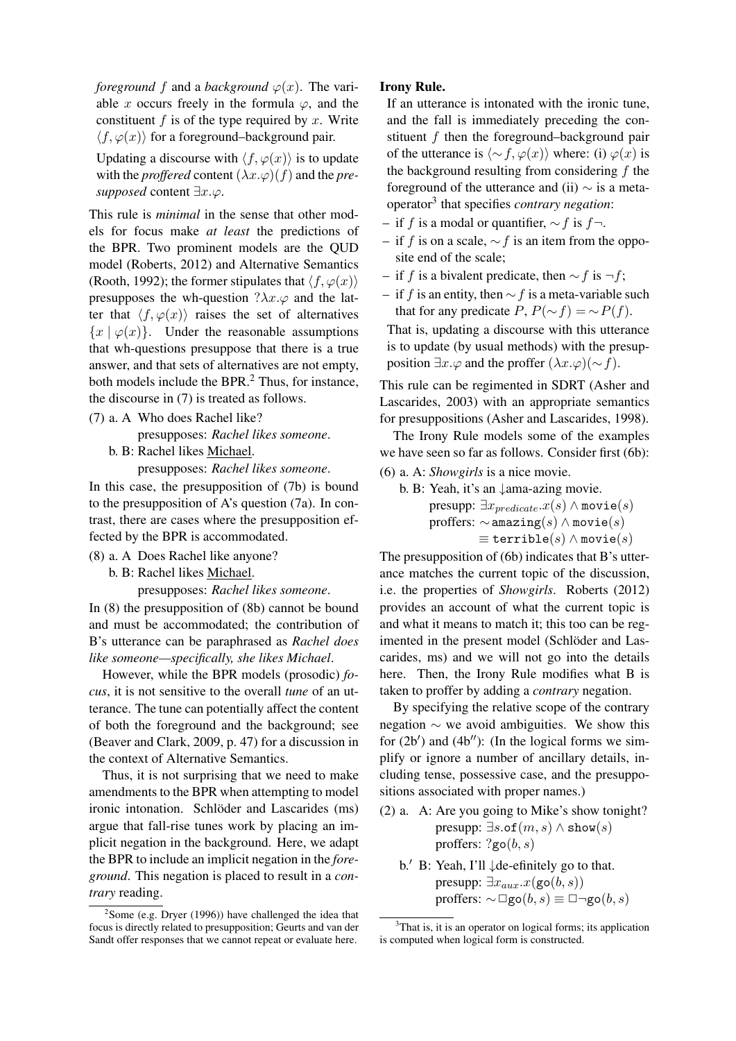*foreground* f and a *background*  $\varphi(x)$ . The variable x occurs freely in the formula  $\varphi$ , and the constituent f is of the type required by x. Write  $\langle f, \varphi(x) \rangle$  for a foreground–background pair.

Updating a discourse with  $\langle f, \varphi(x) \rangle$  is to update with the *proffered* content  $(\lambda x.\varphi)(f)$  and the *presupposed* content  $\exists x.\varphi$ .

This rule is *minimal* in the sense that other models for focus make *at least* the predictions of the BPR. Two prominent models are the QUD model (Roberts, 2012) and Alternative Semantics (Rooth, 1992); the former stipulates that  $\langle f, \varphi(x) \rangle$ presupposes the wh-question  $?\lambda x.\varphi$  and the latter that  $\langle f, \varphi(x) \rangle$  raises the set of alternatives  ${x | \varphi(x)}$ . Under the reasonable assumptions that wh-questions presuppose that there is a true answer, and that sets of alternatives are not empty, both models include the BPR.<sup>2</sup> Thus, for instance, the discourse in (7) is treated as follows.

(7) a. A Who does Rachel like?

presupposes: *Rachel likes someone*.

b. B: Rachel likes Michael. presupposes: *Rachel likes someone*.

In this case, the presupposition of (7b) is bound to the presupposition of A's question (7a). In contrast, there are cases where the presupposition effected by the BPR is accommodated.

- (8) a. A Does Rachel like anyone?
	- b. B: Rachel likes Michael.

presupposes: *Rachel likes someone*.

In (8) the presupposition of (8b) cannot be bound and must be accommodated; the contribution of B's utterance can be paraphrased as *Rachel does like someone—specifically, she likes Michael*.

However, while the BPR models (prosodic) *focus*, it is not sensitive to the overall *tune* of an utterance. The tune can potentially affect the content of both the foreground and the background; see (Beaver and Clark, 2009, p. 47) for a discussion in the context of Alternative Semantics.

Thus, it is not surprising that we need to make amendments to the BPR when attempting to model ironic intonation. Schlöder and Lascarides (ms) argue that fall-rise tunes work by placing an implicit negation in the background. Here, we adapt the BPR to include an implicit negation in the *foreground*. This negation is placed to result in a *contrary* reading.

## Irony Rule.

If an utterance is intonated with the ironic tune, and the fall is immediately preceding the constituent  $f$  then the foreground–background pair of the utterance is  $\langle \sim f, \varphi(x) \rangle$  where: (i)  $\varphi(x)$  is the background resulting from considering  $f$  the foreground of the utterance and (ii)  $\sim$  is a metaoperator<sup>3</sup> that specifies *contrary negation*:

- if f is a modal or quantifier,  $\sim$  f is f $\neg$ .
- if f is on a scale,  $\sim$  f is an item from the opposite end of the scale;
- if f is a bivalent predicate, then  $\sim$  f is  $\neg f$ ;
- if f is an entity, then  $\sim$  f is a meta-variable such that for any predicate  $P, P(\sim f) = \sim P(f)$ .

That is, updating a discourse with this utterance is to update (by usual methods) with the presupposition  $\exists x.\varphi$  and the proffer  $(\lambda x.\varphi)(\sim f)$ .

This rule can be regimented in SDRT (Asher and Lascarides, 2003) with an appropriate semantics for presuppositions (Asher and Lascarides, 1998).

The Irony Rule models some of the examples we have seen so far as follows. Consider first (6b):

(6) a. A: *Showgirls* is a nice movie.

b. B: Yeah, it's an ↓ama-azing movie. presupp:  $\exists x_{predicate}.x(s) \land \text{movie}(s)$ proffers:  $\sim$  amazing(s)  $\land$  movie(s)  $\equiv$  terrible $(s) \wedge$  movie $(s)$ 

The presupposition of (6b) indicates that B's utterance matches the current topic of the discussion, i.e. the properties of *Showgirls*. Roberts (2012) provides an account of what the current topic is and what it means to match it; this too can be regimented in the present model (Schlöder and Lascarides, ms) and we will not go into the details here. Then, the Irony Rule modifies what B is taken to proffer by adding a *contrary* negation.

By specifying the relative scope of the contrary negation ∼ we avoid ambiguities. We show this for  $(2b')$  and  $(4b'')$ : (In the logical forms we simplify or ignore a number of ancillary details, including tense, possessive case, and the presuppositions associated with proper names.)

- (2) a. A: Are you going to Mike's show tonight? presupp:  $\exists s.$ of $(m, s) \wedge$  show $(s)$ proffers:  $?go(b, s)$ 
	- b.<sup> $\prime$ </sup> B: Yeah, I'll  $\downarrow$  de-efinitely go to that. presupp:  $\exists x_{aux}.x(\text{go}(b, s))$ proffers:  $\sim \Box$ go $(b, s) \equiv \Box \neg$ go $(b, s)$

 $2$ Some (e.g. Dryer (1996)) have challenged the idea that focus is directly related to presupposition; Geurts and van der Sandt offer responses that we cannot repeat or evaluate here.

 $3$ That is, it is an operator on logical forms; its application is computed when logical form is constructed.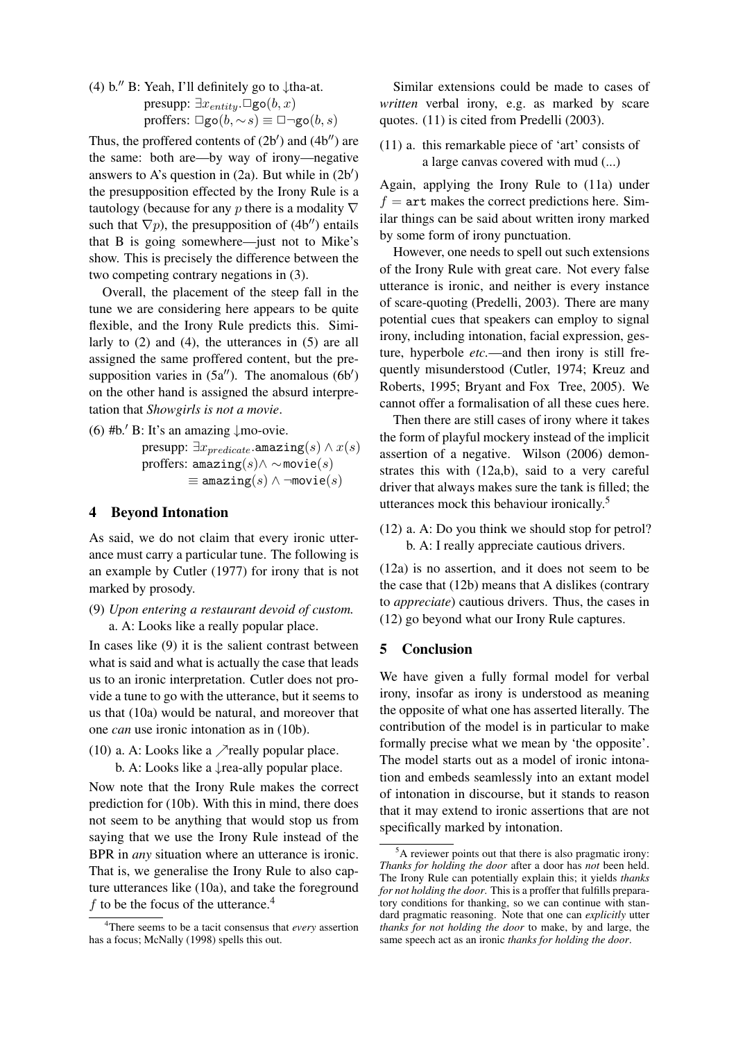(4) b.<sup> $\prime\prime$ </sup> B: Yeah, I'll definitely go to  $\downarrow$ tha-at. presupp:  $\exists x_{entity}.\Box$ go $(b, x)$ proffers:  $\Box$ go(b,  $\sim$ s)  $\equiv$   $\Box$  $\neg$ go(b, s)

Thus, the proffered contents of  $(2b')$  and  $(4b'')$  are the same: both are—by way of irony—negative answers to A's question in  $(2a)$ . But while in  $(2b')$ the presupposition effected by the Irony Rule is a tautology (because for any p there is a modality  $\nabla$ such that  $\nabla p$ ), the presupposition of (4b<sup>''</sup>) entails that B is going somewhere—just not to Mike's show. This is precisely the difference between the two competing contrary negations in (3).

Overall, the placement of the steep fall in the tune we are considering here appears to be quite flexible, and the Irony Rule predicts this. Similarly to (2) and (4), the utterances in (5) are all assigned the same proffered content, but the presupposition varies in  $(5a'')$ . The anomalous  $(6b')$ on the other hand is assigned the absurd interpretation that *Showgirls is not a movie*.

(6) #b.<sup> $\prime$ </sup> B: It's an amazing ↓mo-ovie.

presupp:  $\exists x_{predicate}$ .amazing $(s) \wedge x(s)$ proffers: amazing $(s) \wedge \sim \text{movie}(s)$  $\equiv$  amazing(s)  $\land \neg \text{movie}(s)$ 

## 4 Beyond Intonation

As said, we do not claim that every ironic utterance must carry a particular tune. The following is an example by Cutler (1977) for irony that is not marked by prosody.

(9) *Upon entering a restaurant devoid of custom.* a. A: Looks like a really popular place.

In cases like (9) it is the salient contrast between what is said and what is actually the case that leads us to an ironic interpretation. Cutler does not provide a tune to go with the utterance, but it seems to us that (10a) would be natural, and moreover that one *can* use ironic intonation as in (10b).

(10) a. A: Looks like a  $\triangle$  really popular place.

b. A: Looks like a  $\downarrow$  rea-ally popular place.

Now note that the Irony Rule makes the correct prediction for (10b). With this in mind, there does not seem to be anything that would stop us from saying that we use the Irony Rule instead of the BPR in *any* situation where an utterance is ironic. That is, we generalise the Irony Rule to also capture utterances like (10a), and take the foreground f to be the focus of the utterance.<sup>4</sup>

Similar extensions could be made to cases of *written* verbal irony, e.g. as marked by scare quotes. (11) is cited from Predelli (2003).

(11) a. this remarkable piece of 'art' consists of a large canvas covered with mud (...)

Again, applying the Irony Rule to (11a) under  $f =$  art makes the correct predictions here. Similar things can be said about written irony marked by some form of irony punctuation.

However, one needs to spell out such extensions of the Irony Rule with great care. Not every false utterance is ironic, and neither is every instance of scare-quoting (Predelli, 2003). There are many potential cues that speakers can employ to signal irony, including intonation, facial expression, gesture, hyperbole *etc.*—and then irony is still frequently misunderstood (Cutler, 1974; Kreuz and Roberts, 1995; Bryant and Fox Tree, 2005). We cannot offer a formalisation of all these cues here.

Then there are still cases of irony where it takes the form of playful mockery instead of the implicit assertion of a negative. Wilson (2006) demonstrates this with (12a,b), said to a very careful driver that always makes sure the tank is filled; the utterances mock this behaviour ironically.<sup>5</sup>

(12) a. A: Do you think we should stop for petrol? b. A: I really appreciate cautious drivers.

(12a) is no assertion, and it does not seem to be the case that (12b) means that A dislikes (contrary to *appreciate*) cautious drivers. Thus, the cases in (12) go beyond what our Irony Rule captures.

#### 5 Conclusion

We have given a fully formal model for verbal irony, insofar as irony is understood as meaning the opposite of what one has asserted literally. The contribution of the model is in particular to make formally precise what we mean by 'the opposite'. The model starts out as a model of ironic intonation and embeds seamlessly into an extant model of intonation in discourse, but it stands to reason that it may extend to ironic assertions that are not specifically marked by intonation.

<sup>4</sup>There seems to be a tacit consensus that *every* assertion has a focus; McNally (1998) spells this out.

<sup>&</sup>lt;sup>5</sup>A reviewer points out that there is also pragmatic irony: *Thanks for holding the door* after a door has *not* been held. The Irony Rule can potentially explain this; it yields *thanks for not holding the door*. This is a proffer that fulfills preparatory conditions for thanking, so we can continue with standard pragmatic reasoning. Note that one can *explicitly* utter *thanks for not holding the door* to make, by and large, the same speech act as an ironic *thanks for holding the door*.